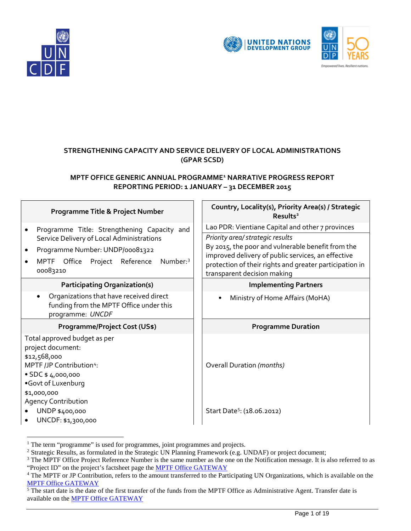



# **STRENGTHENING CAPACITY AND SERVICE DELIVERY OF LOCAL ADMINISTRATIONS (GPAR SCSD)**

# **MPTF OFFICE GENERIC ANNUAL PROGRAMME[1](#page-0-0) NARRATIVE PROGRESS REPORT REPORTING PERIOD: 1 JANUARY – 31 DECEMBER 2015**

| Programme Title & Project Number                                                                                                                                                                          | Country, Locality(s), Priority Area(s) / Strategic<br>Results <sup>2</sup>                                                                                                                                                            |  |
|-----------------------------------------------------------------------------------------------------------------------------------------------------------------------------------------------------------|---------------------------------------------------------------------------------------------------------------------------------------------------------------------------------------------------------------------------------------|--|
| Programme Title: Strengthening Capacity and<br>$\bullet$                                                                                                                                                  | Lao PDR: Vientiane Capital and other 7 provinces                                                                                                                                                                                      |  |
| Service Delivery of Local Administrations<br>Programme Number: UNDP/00081322<br>$\bullet$<br>Office Project Reference<br>Number: <sup>3</sup><br>MPTF<br>$\bullet$<br>00083210                            | Priority area/ strategic results<br>By 2015, the poor and vulnerable benefit from the<br>improved delivery of public services, an effective<br>protection of their rights and greater participation in<br>transparent decision making |  |
| <b>Participating Organization(s)</b>                                                                                                                                                                      | <b>Implementing Partners</b>                                                                                                                                                                                                          |  |
| Organizations that have received direct<br>$\bullet$<br>funding from the MPTF Office under this<br>programme: UNCDF                                                                                       | Ministry of Home Affairs (MoHA)                                                                                                                                                                                                       |  |
| <b>Programme/Project Cost (US\$)</b>                                                                                                                                                                      | <b>Programme Duration</b>                                                                                                                                                                                                             |  |
| Total approved budget as per<br>project document:<br>\$12,568,000<br>MPTF /JP Contribution <sup>4</sup> :<br>$\bullet$ SDC \$4,000,000<br>.Govt of Luxenburg<br>\$1,000,000<br><b>Agency Contribution</b> | Overall Duration (months)                                                                                                                                                                                                             |  |
| UNDP \$400,000<br>UNCDF: \$1,300,000                                                                                                                                                                      | Start Date <sup>5</sup> : (18.06.2012)                                                                                                                                                                                                |  |

<span id="page-0-2"></span><span id="page-0-1"></span>

<span id="page-0-0"></span><sup>&</sup>lt;sup>1</sup> The term "programme" is used for programmes, joint programmes and projects.<br><sup>2</sup> Strategic Results, as formulated in the Strategic UN Planning Framework (e.g. UNDAF) or project document;<br><sup>3</sup> The MPTF Office Project Ref "Project ID" on the project's factsheet page the [MPTF Office GATEWAY](http://mdtf.undp.org/)

<span id="page-0-3"></span><sup>&</sup>lt;sup>4</sup> The MPTF or JP Contribution, refers to the amount transferred to the Participating UN Organizations, which is available on the [MPTF Office GATEWAY](http://mdtf.undp.org/)

<span id="page-0-4"></span> $\frac{1}{5}$ The start date is the date of the first transfer of the funds from the MPTF Office as Administrative Agent. Transfer date is available on the [MPTF Office GATEWAY](http://mdtf.undp.org/)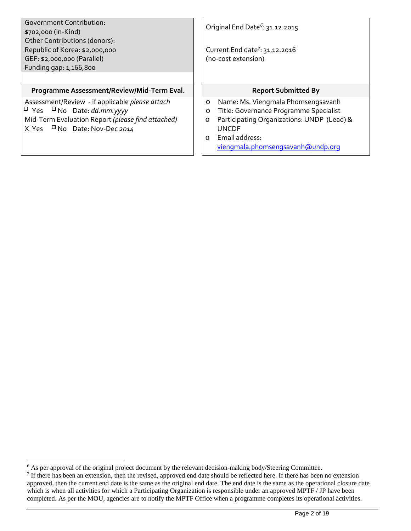| <b>Government Contribution:</b><br>\$702,000 (in-Kind)<br>Other Contributions (donors):<br>Republic of Korea: \$2,000,000<br>GEF: \$2,000,000 (Parallel)<br>Funding gap: 1,166,800  | Original End Date <sup>6</sup> : 31.12.2015<br>Current End date <sup>7</sup> : 31.12.2016<br>(no-cost extension)                                                                                                                              |  |  |
|-------------------------------------------------------------------------------------------------------------------------------------------------------------------------------------|-----------------------------------------------------------------------------------------------------------------------------------------------------------------------------------------------------------------------------------------------|--|--|
| Programme Assessment/Review/Mid-Term Eval.                                                                                                                                          | <b>Report Submitted By</b>                                                                                                                                                                                                                    |  |  |
| Assessment/Review - if applicable please attach<br>$\Box$ Yes $\Box$ No Date: dd.mm.yyyy<br>Mid-Term Evaluation Report (please find attached)<br>X Yes $\Box$ No Date: Nov-Dec 2014 | Name: Ms. Viengmala Phomsengsavanh<br>$\circ$<br>Title: Governance Programme Specialist<br>$\circ$<br>Participating Organizations: UNDP (Lead) &<br>$\circ$<br><b>UNCDE</b><br>Email address:<br>$\circ$<br>viengmala.phomsengsavanh@undp.org |  |  |

<span id="page-1-1"></span><span id="page-1-0"></span> <sup>6</sup> As per approval of the original project document by the relevant decision-making body/Steering Committee. <sup>7</sup> If there has been an extension, then the revised, approved end date should be reflected here. If there has been no extension approved, then the current end date is the same as the original end date. The end date is the same as the operational closure date which is when all activities for which a Participating Organization is responsible under an approved MPTF / JP have been completed. As per the MOU, agencies are to notify the MPTF Office when a programme completes its operational activities.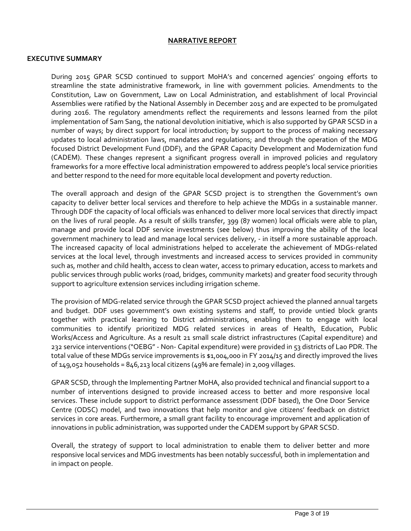#### **NARRATIVE REPORT**

#### **EXECUTIVE SUMMARY**

During 2015 GPAR SCSD continued to support MoHA's and concerned agencies' ongoing efforts to streamline the state administrative framework, in line with government policies. Amendments to the Constitution, Law on Government, Law on Local Administration, and establishment of local Provincial Assemblies were ratified by the National Assembly in December 2015 and are expected to be promulgated during 2016. The regulatory amendments reflect the requirements and lessons learned from the pilot implementation of Sam Sang, the national devolution initiative, which is also supported by GPAR SCSD in a number of ways; by direct support for local introduction; by support to the process of making necessary updates to local administration laws, mandates and regulations; and through the operation of the MDG focused District Development Fund (DDF), and the GPAR Capacity Development and Modernization fund (CADEM). These changes represent a significant progress overall in improved policies and regulatory frameworks for a more effective local administration empowered to address people's local service priorities and better respond to the need for more equitable local development and poverty reduction.

The overall approach and design of the GPAR SCSD project is to strengthen the Government's own capacity to deliver better local services and therefore to help achieve the MDGs in a sustainable manner. Through DDF the capacity of local officials was enhanced to deliver more local services that directly impact on the lives of rural people. As a result of skills transfer, 399 (87 women) local officials were able to plan, manage and provide local DDF service investments (see below) thus improving the ability of the local government machinery to lead and manage local services delivery, - in itself a more sustainable approach. The increased capacity of local administrations helped to accelerate the achievement of MDGs-related services at the local level, through investments and increased access to services provided in community such as, mother and child health, access to clean water, access to primary education, access to markets and public services through public works (road, bridges, community markets) and greater food security through support to agriculture extension services including irrigation scheme.

The provision of MDG-related service through the GPAR SCSD project achieved the planned annual targets and budget. DDF uses government's own existing systems and staff, to provide untied block grants together with practical learning to District administrations, enabling them to engage with local communities to identify prioritized MDG related services in areas of Health, Education, Public Works/Access and Agriculture. As a result 21 small scale district infrastructures (Capital expenditure) and 232 service interventions ("OEBG" - Non- Capital expenditure) were provided in 53 districts of Lao PDR. The total value of these MDGs service improvements is \$1,004,000 in FY 2014/15 and directly improved the lives of  $149,052$  households =  $846,213$  local citizens ( $49\%$  are female) in 2,009 villages.

GPAR SCSD, through the Implementing Partner MoHA, also provided technical and financial support to a number of interventions designed to provide increased access to better and more responsive local services. These include support to district performance assessment (DDF based), the One Door Service Centre (ODSC) model, and two innovations that help monitor and give citizens' feedback on district services in core areas. Furthermore, a small grant facility to encourage improvement and application of innovations in public administration, was supported under the CADEM support by GPAR SCSD.

Overall, the strategy of support to local administration to enable them to deliver better and more responsive local services and MDG investments has been notably successful, both in implementation and in impact on people.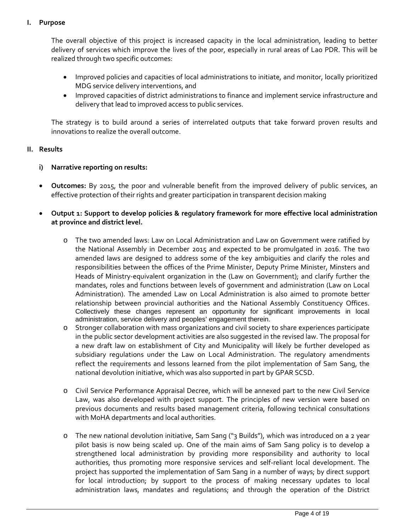### **I. Purpose**

The overall objective of this project is increased capacity in the local administration, leading to better delivery of services which improve the lives of the poor, especially in rural areas of Lao PDR. This will be realized through two specific outcomes:

- Improved policies and capacities of local administrations to initiate, and monitor, locally prioritized MDG service delivery interventions, and
- Improved capacities of district administrations to finance and implement service infrastructure and delivery that lead to improved access to public services.

The strategy is to build around a series of interrelated outputs that take forward proven results and innovations to realize the overall outcome.

#### **II. Results**

#### **i) Narrative reporting on results:**

- **Outcomes:** By 2015, the poor and vulnerable benefit from the improved delivery of public services, an effective protection of their rights and greater participation in transparent decision making
- **Output 1: Support to develop policies & regulatory framework for more effective local administration at province and district level.**
	- o The two amended laws: Law on Local Administration and Law on Government were ratified by the National Assembly in December 2015 and expected to be promulgated in 2016. The two amended laws are designed to address some of the key ambiguities and clarify the roles and responsibilities between the offices of the Prime Minister, Deputy Prime Minister, Minsters and Heads of Ministry-equivalent organization in the (Law on Government); and clarify further the mandates, roles and functions between levels of government and administration (Law on Local Administration). The amended Law on Local Administration is also aimed to promote better relationship between provincial authorities and the National Assembly Constituency Offices. Collectively these changes represent an opportunity for significant improvements in local administration, service delivery and peoples' engagement therein.
	- o Stronger collaboration with mass organizations and civil society to share experiences participate in the public sector development activities are also suggested in the revised law. The proposal for a new draft law on establishment of City and Municipality will likely be further developed as subsidiary regulations under the Law on Local Administration. The regulatory amendments reflect the requirements and lessons learned from the pilot implementation of Sam Sang, the national devolution initiative, which was also supported in part by GPAR SCSD.
	- o Civil Service Performance Appraisal Decree, which will be annexed part to the new Civil Service Law, was also developed with project support. The principles of new version were based on previous documents and results based management criteria, following technical consultations with MoHA departments and local authorities.
	- o The new national devolution initiative, Sam Sang ("3 Builds"), which was introduced on a 2 year pilot basis is now being scaled up. One of the main aims of Sam Sang policy is to develop a strengthened local administration by providing more responsibility and authority to local authorities, thus promoting more responsive services and self-reliant local development. The project has supported the implementation of Sam Sang in a number of ways; by direct support for local introduction; by support to the process of making necessary updates to local administration laws, mandates and regulations; and through the operation of the District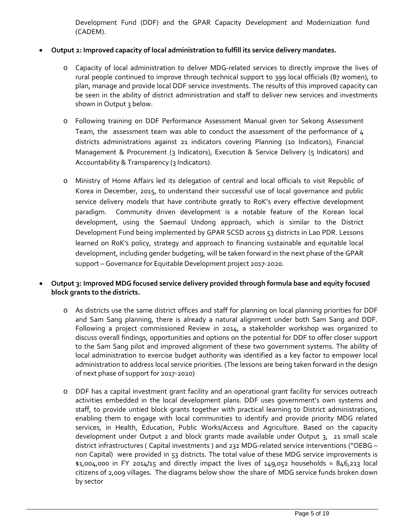Development Fund (DDF) and the GPAR Capacity Development and Modernization fund (CADEM).

# • **Output 2: Improved capacity of local administration to fulfill its service delivery mandates.**

- o Capacity of local administration to deliver MDG-related services to directly improve the lives of rural people continued to improve through technical support to 399 local officials (87 women), to plan, manage and provide local DDF service investments. The results of this improved capacity can be seen in the ability of district administration and staff to deliver new services and investments shown in Output 3 below.
- o Following training on DDF Performance Assessment Manual given tor Sekong Assessment Team, the assessment team was able to conduct the assessment of the performance of 4 districts administrations against 21 indicators covering Planning (10 Indicators), Financial Management & Procurement (3 Indicators), Execution & Service Delivery (5 Indicators) and Accountability & Transparency (3 Indicators).
- o Ministry of Home Affairs led its delegation of central and local officials to visit Republic of Korea in December, 2015, to understand their successful use of local governance and public service delivery models that have contribute greatly to RoK's every effective development paradigm. Community driven development is a notable feature of the Korean local development, using the Saemaul Undong approach, which is similar to the District Development Fund being implemented by GPAR SCSD across 53 districts in Lao PDR. Lessons learned on RoK's policy, strategy and approach to financing sustainable and equitable local development, including gender budgeting, will be taken forward in the next phase of the GPAR support – Governance for Equitable Development project 2017-2020.

# • **Output 3: Improved MDG focused service delivery provided through formula base and equity focused block grants to the districts.**

- o As districts use the same district offices and staff for planning on local planning priorities for DDF and Sam Sang planning, there is already a natural alignment under both Sam Sang and DDF. Following a project commissioned Review in 2014, a stakeholder workshop was organized to discuss overall findings, opportunities and options on the potential for DDF to offer closer support to the Sam Sang pilot and improved alignment of these two government systems. The ability of local administration to exercise budget authority was identified as a key factor to empower local administration to address local service priorities. (The lessons are being taken forward in the design of next phase of support for 2017-2020)
- o DDF has a capital investment grant facility and an operational grant facility for services outreach activities embedded in the local development plans. DDF uses government's own systems and staff, to provide untied block grants together with practical learning to District administrations, enabling them to engage with local communities to identify and provide priority MDG related services, in Health, Education, Public Works/Access and Agriculture. Based on the capacity development under Output 2 and block grants made available under Output 3, 21 small scale district infrastructures ( Capital investments ) and 232 MDG-related service interventions ("OEBG – non Capital) were provided in 53 districts. The total value of these MDG service improvements is  $$1,004,000$  in FY 2014/15 and directly impact the lives of 149,052 households = 846,213 local citizens of 2,009 villages. The diagrams below show the share of MDG service funds broken down by sector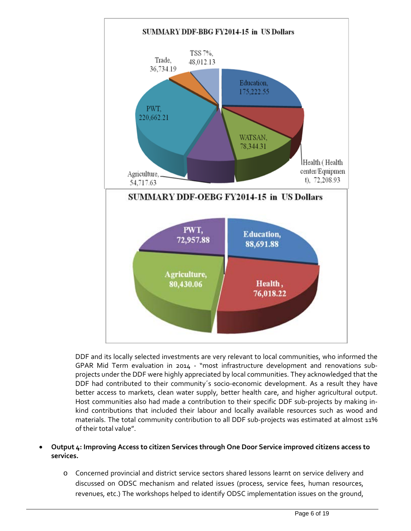

DDF and its locally selected investments are very relevant to local communities, who informed the GPAR Mid Term evaluation in 2014 - "most infrastructure development and renovations subprojects under the DDF were highly appreciated by local communities. They acknowledged that the DDF had contributed to their community´s socio-economic development. As a result they have better access to markets, clean water supply, better health care, and higher agricultural output. Host communities also had made a contribution to their specific DDF sub-projects by making inkind contributions that included their labour and locally available resources such as wood and materials. The total community contribution to all DDF sub-projects was estimated at almost 11% of their total value".

- **Output 4: Improving Access to citizen Services through One Door Service improved citizens access to services.**
	- o Concerned provincial and district service sectors shared lessons learnt on service delivery and discussed on ODSC mechanism and related issues (process, service fees, human resources, revenues, etc.) The workshops helped to identify ODSC implementation issues on the ground,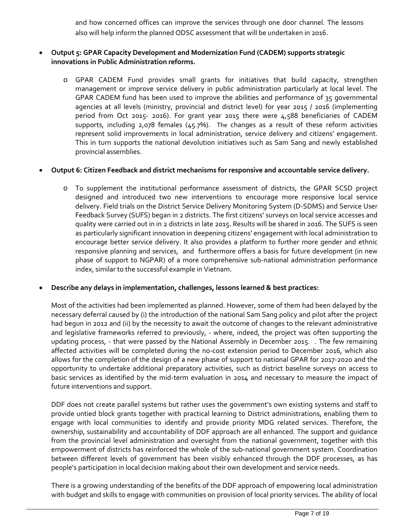and how concerned offices can improve the services through one door channel. The lessons also will help inform the planned ODSC assessment that will be undertaken in 2016.

# • **Output 5: GPAR Capacity Development and Modernization Fund (CADEM) supports strategic innovations in Public Administration reforms.**

o GPAR CADEM Fund provides small grants for initiatives that build capacity, strengthen management or improve service delivery in public administration particularly at local level. The GPAR CADEM fund has been used to improve the abilities and performance of 35 governmental agencies at all levels (ministry, provincial and district level) for year 2015 / 2016 (implementing period from Oct 2015- 2016). For grant year 2015 there were 4,588 beneficiaries of CADEM supports, including 2,078 females (45.7%). The changes as a result of these reform activities represent solid improvements in local administration, service delivery and citizens' engagement. This in turn supports the national devolution initiatives such as Sam Sang and newly established provincial assemblies.

# • **Output 6: Citizen Feedback and district mechanisms for responsive and accountable service delivery.**

o To supplement the institutional performance assessment of districts, the GPAR SCSD project designed and introduced two new interventions to encourage more responsive local service delivery. Field trials on the District Service Delivery Monitoring System (D-SDMS) and Service User Feedback Survey (SUFS) began in 2 districts. The first citizens' surveys on local service accesses and quality were carried out in in 2 districts in late 2015. Results will be shared in 2016. The SUFS is seen as particularly significant innovation in deepening citizens' engagement with local administration to encourage better service delivery. It also provides a platform to further more gender and ethnic responsive planning and services, and furthermore offers a basis for future development (in new phase of support to NGPAR) of a more comprehensive sub-national administration performance index, similar to the successful example in Vietnam.

### • **Describe any delays in implementation, challenges, lessons learned & best practices:**

Most of the activities had been implemented as planned. However, some of them had been delayed by the necessary deferral caused by (i) the introduction of the national Sam Sang policy and pilot after the project had begun in 2012 and (ii) by the necessity to await the outcome of changes to the relevant administrative and legislative frameworks referred to previously, - where, indeed, the project was often supporting the updating process, - that were passed by the National Assembly in December 2015. . The few remaining affected activities will be completed during the no-cost extension period to December 2016, which also allows for the completion of the design of a new phase of support to national GPAR for 2017-2020 and the opportunity to undertake additional preparatory activities, such as district baseline surveys on access to basic services as identified by the mid-term evaluation in 2014 and necessary to measure the impact of future interventions and support.

DDF does not create parallel systems but rather uses the government's own existing systems and staff to provide untied block grants together with practical learning to District administrations, enabling them to engage with local communities to identify and provide priority MDG related services. Therefore, the ownership, sustainability and accountability of DDF approach are all enhanced. The support and guidance from the provincial level administration and oversight from the national government, together with this empowerment of districts has reinforced the whole of the sub-national government system. Coordination between different levels of government has been visibly enhanced through the DDF processes, as has people's participation in local decision making about their own development and service needs.

There is a growing understanding of the benefits of the DDF approach of empowering local administration with budget and skills to engage with communities on provision of local priority services. The ability of local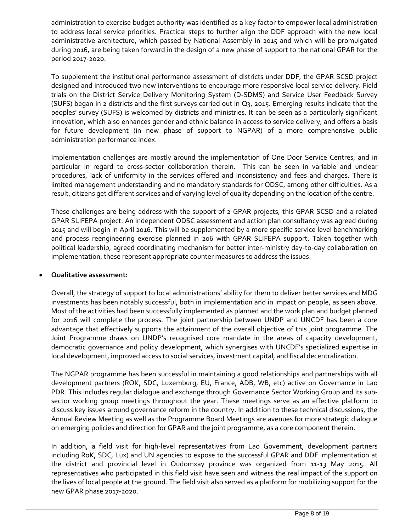administration to exercise budget authority was identified as a key factor to empower local administration to address local service priorities. Practical steps to further align the DDF approach with the new local administrative architecture, which passed by National Assembly in 2015 and which will be promulgated during 2016, are being taken forward in the design of a new phase of support to the national GPAR for the period 2017-2020.

To supplement the institutional performance assessment of districts under DDF, the GPAR SCSD project designed and introduced two new interventions to encourage more responsive local service delivery. Field trials on the District Service Delivery Monitoring System (D-SDMS) and Service User Feedback Survey (SUFS) began in 2 districts and the first surveys carried out in Q3, 2015. Emerging results indicate that the peoples' survey (SUFS) is welcomed by districts and ministries. It can be seen as a particularly significant innovation, which also enhances gender and ethnic balance in access to service delivery, and offers a basis for future development (in new phase of support to NGPAR) of a more comprehensive public administration performance index.

Implementation challenges are mostly around the implementation of One Door Service Centres, and in particular in regard to cross-sector collaboration therein. This can be seen in variable and unclear procedures, lack of uniformity in the services offered and inconsistency and fees and charges. There is limited management understanding and no mandatory standards for ODSC, among other difficulties. As a result, citizens get different services and of varying level of quality depending on the location of the centre.

These challenges are being address with the support of 2 GPAR projects, this GPAR SCSD and a related GPAR SLIFEPA project. An independent ODSC assessment and action plan consultancy was agreed during 2015 and will begin in April 2016. This will be supplemented by a more specific service level benchmarking and process reengineering exercise planned in 206 with GPAR SLIFEPA support. Taken together with political leadership, agreed coordinating mechanism for better inter-ministry day-to-day collaboration on implementation, these represent appropriate counter measures to address the issues.

### • **Qualitative assessment:**

Overall, the strategy of support to local administrations' ability for them to deliver better services and MDG investments has been notably successful, both in implementation and in impact on people, as seen above. Most of the activities had been successfully implemented as planned and the work plan and budget planned for 2016 will complete the process. The joint partnership between UNDP and UNCDF has been a core advantage that effectively supports the attainment of the overall objective of this joint programme. The Joint Programme draws on UNDP's recognised core mandate in the areas of capacity development, democratic governance and policy development, which synergises with UNCDF's specialized expertise in local development, improved access to social services, investment capital, and fiscal decentralization.

The NGPAR programme has been successful in maintaining a good relationships and partnerships with all development partners (ROK, SDC, Luxemburg, EU, France, ADB, WB, etc) active on Governance in Lao PDR. This includes regular dialogue and exchange through Governance Sector Working Group and its subsector working group meetings throughout the year. These meetings serve as an effective platform to discuss key issues around governance reform in the country. In addition to these technical discussions, the Annual Review Meeting as well as the Programme Board Meetings are avenues for more strategic dialogue on emerging policies and direction for GPAR and the joint programme, as a core component therein.

In addition, a field visit for high-level representatives from Lao Government, development partners including RoK, SDC, Lux) and UN agencies to expose to the successful GPAR and DDF implementation at the district and provincial level in Oudomxay province was organized from 11-13 May 2015. All representatives who participated in this field visit have seen and witness the real impact of the support on the lives of local people at the ground. The field visit also served as a platform for mobilizing support for the new GPAR phase 2017-2020.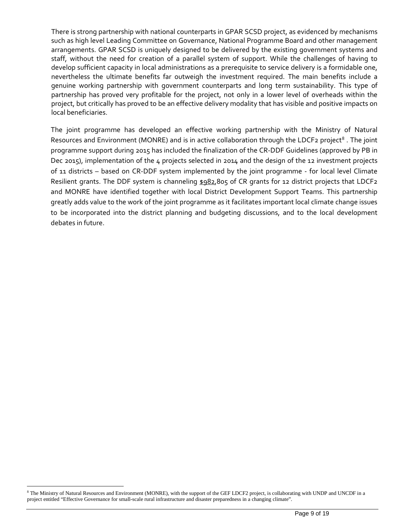There is strong partnership with national counterparts in GPAR SCSD project, as evidenced by mechanisms such as high level Leading Committee on Governance, National Programme Board and other management arrangements. GPAR SCSD is uniquely designed to be delivered by the existing government systems and staff, without the need for creation of a parallel system of support. While the challenges of having to develop sufficient capacity in local administrations as a prerequisite to service delivery is a formidable one, nevertheless the ultimate benefits far outweigh the investment required. The main benefits include a genuine working partnership with government counterparts and long term sustainability. This type of partnership has proved very profitable for the project, not only in a lower level of overheads within the project, but critically has proved to be an effective delivery modality that has visible and positive impacts on local beneficiaries.

The joint programme has developed an effective working partnership with the Ministry of Natural Resources and Environment (MONRE) and is in active collaboration through the LDCF2 project<sup>[8](#page-8-0)</sup>. The joint programme support during 2015 has included the finalization of the CR-DDF Guidelines (approved by PB in Dec 2015), implementation of the 4 projects selected in 2014 and the design of the 12 investment projects of 11 districts – based on CR-DDF system implemented by the joint programme - for local level Climate Resilient grants. The DDF system is channeling \$982,805 of CR grants for 12 district projects that LDCF2 and MONRE have identified together with local District Development Support Teams. This partnership greatly adds value to the work of the joint programme as it facilitates important local climate change issues to be incorporated into the district planning and budgeting discussions, and to the local development debates in future.

<span id="page-8-0"></span><sup>&</sup>lt;sup>8</sup> The Ministry of Natural Resources and Environment (MONRE), with the support of the GEF LDCF2 project, is collaborating with UNDP and UNCDF in a project entitled "Effective Governance for small-scale rural infrastructure and disaster preparedness in a changing climate".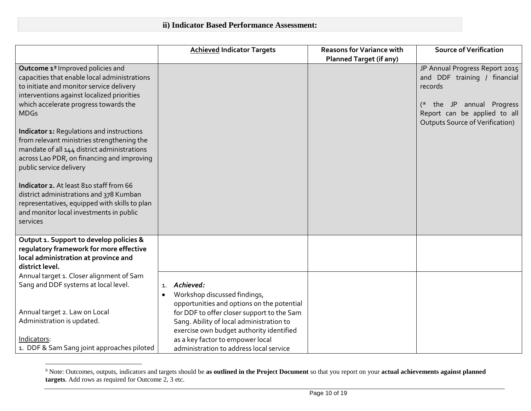<span id="page-9-0"></span>

|                                                                                                                                                                                                                                                                                                                                                                                                                                                                                                                     | <b>Achieved Indicator Targets</b>                                                    | <b>Reasons for Variance with</b> | <b>Source of Verification</b>                                                                                                                                                    |
|---------------------------------------------------------------------------------------------------------------------------------------------------------------------------------------------------------------------------------------------------------------------------------------------------------------------------------------------------------------------------------------------------------------------------------------------------------------------------------------------------------------------|--------------------------------------------------------------------------------------|----------------------------------|----------------------------------------------------------------------------------------------------------------------------------------------------------------------------------|
|                                                                                                                                                                                                                                                                                                                                                                                                                                                                                                                     |                                                                                      | <b>Planned Target (if any)</b>   |                                                                                                                                                                                  |
| Outcome 1 <sup>9</sup> Improved policies and<br>capacities that enable local administrations<br>to initiate and monitor service delivery<br>interventions against localized priorities<br>which accelerate progress towards the<br><b>MDGs</b><br><b>Indicator 1: Regulations and instructions</b><br>from relevant ministries strengthening the<br>mandate of all 144 district administrations<br>across Lao PDR, on financing and improving<br>public service delivery<br>Indicator 2. At least 810 staff from 66 |                                                                                      |                                  | JP Annual Progress Report 2015<br>and DDF training / financial<br>records<br>(* the JP annual Progress<br>Report can be applied to all<br><b>Outputs Source of Verification)</b> |
| district administrations and 378 Kumban<br>representatives, equipped with skills to plan<br>and monitor local investments in public<br>services                                                                                                                                                                                                                                                                                                                                                                     |                                                                                      |                                  |                                                                                                                                                                                  |
| Output 1. Support to develop policies &                                                                                                                                                                                                                                                                                                                                                                                                                                                                             |                                                                                      |                                  |                                                                                                                                                                                  |
| regulatory framework for more effective                                                                                                                                                                                                                                                                                                                                                                                                                                                                             |                                                                                      |                                  |                                                                                                                                                                                  |
| local administration at province and<br>district level.                                                                                                                                                                                                                                                                                                                                                                                                                                                             |                                                                                      |                                  |                                                                                                                                                                                  |
| Annual target 1. Closer alignment of Sam                                                                                                                                                                                                                                                                                                                                                                                                                                                                            |                                                                                      |                                  |                                                                                                                                                                                  |
| Sang and DDF systems at local level.                                                                                                                                                                                                                                                                                                                                                                                                                                                                                | 1. Achieved:                                                                         |                                  |                                                                                                                                                                                  |
|                                                                                                                                                                                                                                                                                                                                                                                                                                                                                                                     | Workshop discussed findings,<br>$\bullet$                                            |                                  |                                                                                                                                                                                  |
|                                                                                                                                                                                                                                                                                                                                                                                                                                                                                                                     | opportunities and options on the potential                                           |                                  |                                                                                                                                                                                  |
| Annual target 2. Law on Local<br>Administration is updated.                                                                                                                                                                                                                                                                                                                                                                                                                                                         | for DDF to offer closer support to the Sam                                           |                                  |                                                                                                                                                                                  |
|                                                                                                                                                                                                                                                                                                                                                                                                                                                                                                                     | Sang. Ability of local administration to<br>exercise own budget authority identified |                                  |                                                                                                                                                                                  |
| Indicators:                                                                                                                                                                                                                                                                                                                                                                                                                                                                                                         | as a key factor to empower local                                                     |                                  |                                                                                                                                                                                  |
| 1. DDF & Sam Sang joint approaches piloted                                                                                                                                                                                                                                                                                                                                                                                                                                                                          | administration to address local service                                              |                                  |                                                                                                                                                                                  |

 <sup>9</sup> Note: Outcomes, outputs, indicators and targets should be **as outlined in the Project Document** so that you report on your **actual achievements against planned targets**. Add rows as required for Outcome 2, 3 etc.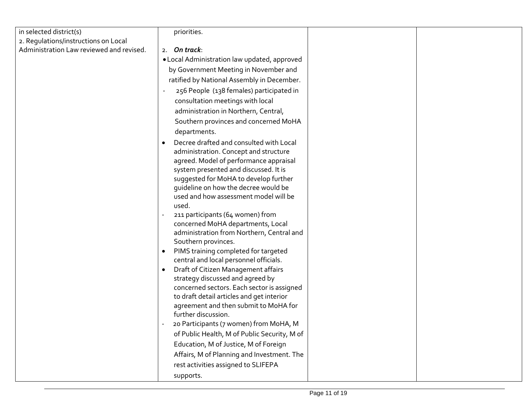| in selected district(s)                  | priorities.                                                                             |  |
|------------------------------------------|-----------------------------------------------------------------------------------------|--|
| 2. Regulations/instructions on Local     |                                                                                         |  |
| Administration Law reviewed and revised. | 2. On track:                                                                            |  |
|                                          | . Local Administration law updated, approved                                            |  |
|                                          | by Government Meeting in November and                                                   |  |
|                                          | ratified by National Assembly in December.                                              |  |
|                                          | 256 People (138 females) participated in                                                |  |
|                                          | consultation meetings with local                                                        |  |
|                                          | administration in Northern, Central,                                                    |  |
|                                          | Southern provinces and concerned MoHA                                                   |  |
|                                          | departments.                                                                            |  |
|                                          | Decree drafted and consulted with Local                                                 |  |
|                                          | administration. Concept and structure                                                   |  |
|                                          | agreed. Model of performance appraisal                                                  |  |
|                                          | system presented and discussed. It is                                                   |  |
|                                          | suggested for MoHA to develop further                                                   |  |
|                                          | quideline on how the decree would be<br>used and how assessment model will be           |  |
|                                          | used.                                                                                   |  |
|                                          | 211 participants (64 women) from                                                        |  |
|                                          | concerned MoHA departments, Local                                                       |  |
|                                          | administration from Northern, Central and                                               |  |
|                                          | Southern provinces.                                                                     |  |
|                                          | PIMS training completed for targeted<br>$\bullet$                                       |  |
|                                          | central and local personnel officials.                                                  |  |
|                                          | Draft of Citizen Management affairs<br>$\bullet$                                        |  |
|                                          | strategy discussed and agreed by                                                        |  |
|                                          | concerned sectors. Each sector is assigned<br>to draft detail articles and get interior |  |
|                                          | agreement and then submit to MoHA for                                                   |  |
|                                          | further discussion.                                                                     |  |
|                                          | 20 Participants (7 women) from MoHA, M                                                  |  |
|                                          | of Public Health, M of Public Security, M of                                            |  |
|                                          | Education, M of Justice, M of Foreign                                                   |  |
|                                          | Affairs, M of Planning and Investment. The                                              |  |
|                                          | rest activities assigned to SLIFEPA                                                     |  |
|                                          | supports.                                                                               |  |
|                                          |                                                                                         |  |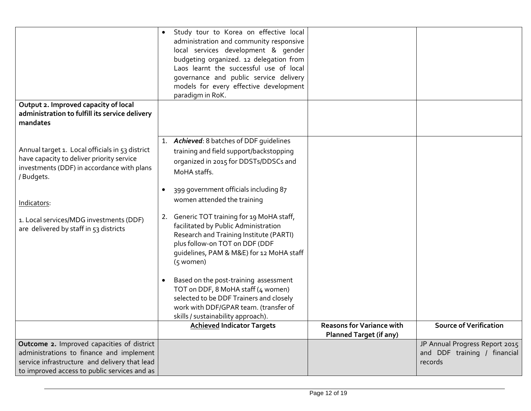| Output 2. Improved capacity of local<br>administration to fulfill its service delivery<br>mandates                                                                                      |           | • Study tour to Korea on effective local<br>administration and community responsive<br>local services development & gender<br>budgeting organized. 12 delegation from<br>Laos learnt the successful use of local<br>governance and public service delivery<br>models for every effective development<br>paradigm in RoK.                                                                                                          |                                                                    |                                                                           |
|-----------------------------------------------------------------------------------------------------------------------------------------------------------------------------------------|-----------|-----------------------------------------------------------------------------------------------------------------------------------------------------------------------------------------------------------------------------------------------------------------------------------------------------------------------------------------------------------------------------------------------------------------------------------|--------------------------------------------------------------------|---------------------------------------------------------------------------|
| Annual target 1. Local officials in 53 district<br>have capacity to deliver priority service<br>investments (DDF) in accordance with plans<br>/Budgets.<br>Indicators:                  |           | 1. Achieved: 8 batches of DDF quidelines<br>training and field support/backstopping<br>organized in 2015 for DDSTs/DDSCs and<br>MoHA staffs.<br>399 government officials including 87<br>women attended the training                                                                                                                                                                                                              |                                                                    |                                                                           |
| 1. Local services/MDG investments (DDF)<br>are delivered by staff in 53 districts                                                                                                       | $\bullet$ | 2. Generic TOT training for 19 MoHA staff,<br>facilitated by Public Administration<br>Research and Training Institute (PARTI)<br>plus follow-on TOT on DDF (DDF<br>guidelines, PAM & M&E) for 12 MoHA staff<br>(5 women)<br>Based on the post-training assessment<br>TOT on DDF, 8 MoHA staff (4 women)<br>selected to be DDF Trainers and closely<br>work with DDF/GPAR team. (transfer of<br>skills / sustainability approach). |                                                                    |                                                                           |
|                                                                                                                                                                                         |           | <b>Achieved Indicator Targets</b>                                                                                                                                                                                                                                                                                                                                                                                                 | <b>Reasons for Variance with</b><br><b>Planned Target (if any)</b> | <b>Source of Verification</b>                                             |
| Outcome 2. Improved capacities of district<br>administrations to finance and implement<br>service infrastructure and delivery that lead<br>to improved access to public services and as |           |                                                                                                                                                                                                                                                                                                                                                                                                                                   |                                                                    | JP Annual Progress Report 2015<br>and DDF training / financial<br>records |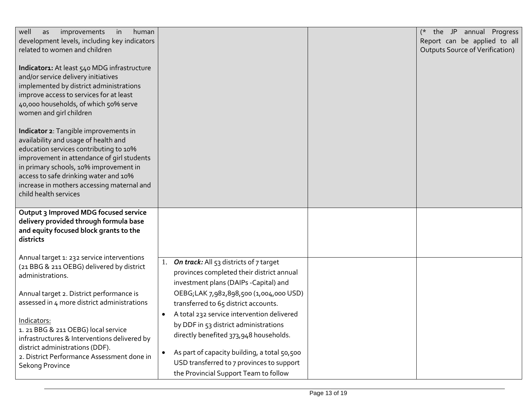| improvements<br>in<br>human<br>well<br>as<br>development levels, including key indicators<br>related to women and children                                                                                                                                                                                                      |                                                                                                                                                                                                                                                                                  | (* the JP annual Progress<br>Report can be applied to all<br><b>Outputs Source of Verification)</b> |
|---------------------------------------------------------------------------------------------------------------------------------------------------------------------------------------------------------------------------------------------------------------------------------------------------------------------------------|----------------------------------------------------------------------------------------------------------------------------------------------------------------------------------------------------------------------------------------------------------------------------------|-----------------------------------------------------------------------------------------------------|
| Indicator1: At least 540 MDG infrastructure<br>and/or service delivery initiatives<br>implemented by district administrations<br>improve access to services for at least<br>40,000 households, of which 50% serve<br>women and girl children                                                                                    |                                                                                                                                                                                                                                                                                  |                                                                                                     |
| Indicator 2: Tangible improvements in<br>availability and usage of health and<br>education services contributing to 10%<br>improvement in attendance of girl students<br>in primary schools, 10% improvement in<br>access to safe drinking water and 10%<br>increase in mothers accessing maternal and<br>child health services |                                                                                                                                                                                                                                                                                  |                                                                                                     |
| Output 3 Improved MDG focused service<br>delivery provided through formula base<br>and equity focused block grants to the<br>districts                                                                                                                                                                                          |                                                                                                                                                                                                                                                                                  |                                                                                                     |
| Annual target 1: 232 service interventions<br>(21 BBG & 211 OEBG) delivered by district<br>administrations.                                                                                                                                                                                                                     | 1. On track: All 53 districts of 7 target<br>provinces completed their district annual<br>investment plans (DAIPs -Capital) and                                                                                                                                                  |                                                                                                     |
| Annual target 2. District performance is<br>assessed in 4 more district administrations                                                                                                                                                                                                                                         | OEBG;LAK 7,982,898,500 (1,004,000 USD)<br>transferred to 65 district accounts.                                                                                                                                                                                                   |                                                                                                     |
| Indicators:<br>1. 21 BBG & 211 OEBG) local service<br>infrastructures & Interventions delivered by<br>district administrations (DDF).<br>2. District Performance Assessment done in<br>Sekong Province                                                                                                                          | A total 232 service intervention delivered<br>$\bullet$<br>by DDF in 53 district administrations<br>directly benefited 373,948 households.<br>As part of capacity building, a total 50,500<br>USD transferred to 7 provinces to support<br>the Provincial Support Team to follow |                                                                                                     |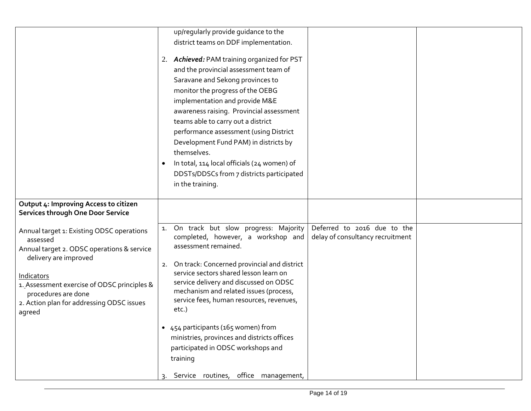|                                                                     | up/regularly provide guidance to the                     |                                  |  |
|---------------------------------------------------------------------|----------------------------------------------------------|----------------------------------|--|
|                                                                     | district teams on DDF implementation.                    |                                  |  |
|                                                                     |                                                          |                                  |  |
|                                                                     | 2. Achieved: PAM training organized for PST              |                                  |  |
|                                                                     | and the provincial assessment team of                    |                                  |  |
|                                                                     | Saravane and Sekong provinces to                         |                                  |  |
|                                                                     | monitor the progress of the OEBG                         |                                  |  |
|                                                                     | implementation and provide M&E                           |                                  |  |
|                                                                     | awareness raising. Provincial assessment                 |                                  |  |
|                                                                     | teams able to carry out a district                       |                                  |  |
|                                                                     | performance assessment (using District                   |                                  |  |
|                                                                     | Development Fund PAM) in districts by                    |                                  |  |
|                                                                     | themselves.                                              |                                  |  |
|                                                                     | In total, 114 local officials (24 women) of<br>$\bullet$ |                                  |  |
|                                                                     | DDSTs/DDSCs from 7 districts participated                |                                  |  |
|                                                                     | in the training.                                         |                                  |  |
|                                                                     |                                                          |                                  |  |
| Output 4: Improving Access to citizen                               |                                                          |                                  |  |
| Services through One Door Service                                   |                                                          |                                  |  |
|                                                                     | On track but slow progress: Majority<br>1.               | Deferred to 2016 due to the      |  |
| Annual target 1: Existing ODSC operations                           | completed, however, a workshop and                       | delay of consultancy recruitment |  |
| assessed                                                            | assessment remained.                                     |                                  |  |
| Annual target 2. ODSC operations & service<br>delivery are improved |                                                          |                                  |  |
|                                                                     | On track: Concerned provincial and district<br>2.        |                                  |  |
| Indicators                                                          | service sectors shared lesson learn on                   |                                  |  |
| 1. Assessment exercise of ODSC principles &                         | service delivery and discussed on ODSC                   |                                  |  |
| procedures are done                                                 | mechanism and related issues (process,                   |                                  |  |
| 2. Action plan for addressing ODSC issues                           | service fees, human resources, revenues,                 |                                  |  |
| agreed                                                              | etc.)                                                    |                                  |  |
|                                                                     | • 454 participants (165 women) from                      |                                  |  |
|                                                                     | ministries, provinces and districts offices              |                                  |  |
|                                                                     | participated in ODSC workshops and                       |                                  |  |
|                                                                     |                                                          |                                  |  |
|                                                                     | training                                                 |                                  |  |
|                                                                     | Service routines, office management,                     |                                  |  |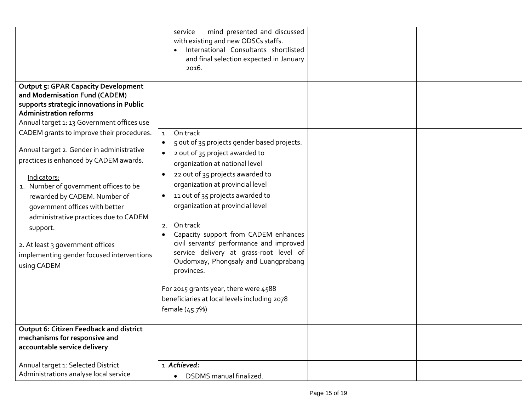|                                                                                                                                                                                                                                                                                                                                                                                                                 | mind presented and discussed<br>service<br>with existing and new ODSCs staffs.<br>International Consultants shortlisted<br>and final selection expected in January<br>2016.                                                                                                                                                                                                                                                                                                                                                                                                                                 |  |
|-----------------------------------------------------------------------------------------------------------------------------------------------------------------------------------------------------------------------------------------------------------------------------------------------------------------------------------------------------------------------------------------------------------------|-------------------------------------------------------------------------------------------------------------------------------------------------------------------------------------------------------------------------------------------------------------------------------------------------------------------------------------------------------------------------------------------------------------------------------------------------------------------------------------------------------------------------------------------------------------------------------------------------------------|--|
| <b>Output 5: GPAR Capacity Development</b><br>and Modernisation Fund (CADEM)<br>supports strategic innovations in Public<br><b>Administration reforms</b><br>Annual target 1: 13 Government offices use                                                                                                                                                                                                         |                                                                                                                                                                                                                                                                                                                                                                                                                                                                                                                                                                                                             |  |
| CADEM grants to improve their procedures.<br>Annual target 2. Gender in administrative<br>practices is enhanced by CADEM awards.<br>Indicators:<br>1. Number of government offices to be<br>rewarded by CADEM. Number of<br>government offices with better<br>administrative practices due to CADEM<br>support.<br>2. At least 3 government offices<br>implementing gender focused interventions<br>using CADEM | On track<br>1.<br>5 out of 35 projects gender based projects.<br>2 out of 35 project awarded to<br>$\bullet$<br>organization at national level<br>22 out of 35 projects awarded to<br>organization at provincial level<br>11 out of 35 projects awarded to<br>$\bullet$<br>organization at provincial level<br>On track<br>2.<br>Capacity support from CADEM enhances<br>civil servants' performance and improved<br>service delivery at grass-root level of<br>Oudomxay, Phongsaly and Luangprabang<br>provinces.<br>For 2015 grants year, there were 4588<br>beneficiaries at local levels including 2078 |  |
|                                                                                                                                                                                                                                                                                                                                                                                                                 | female (45.7%)                                                                                                                                                                                                                                                                                                                                                                                                                                                                                                                                                                                              |  |
| <b>Output 6: Citizen Feedback and district</b><br>mechanisms for responsive and<br>accountable service delivery                                                                                                                                                                                                                                                                                                 |                                                                                                                                                                                                                                                                                                                                                                                                                                                                                                                                                                                                             |  |
| Annual target 1: Selected District<br>Administrations analyse local service                                                                                                                                                                                                                                                                                                                                     | 1. Achieved:<br>DSDMS manual finalized.<br>$\bullet$                                                                                                                                                                                                                                                                                                                                                                                                                                                                                                                                                        |  |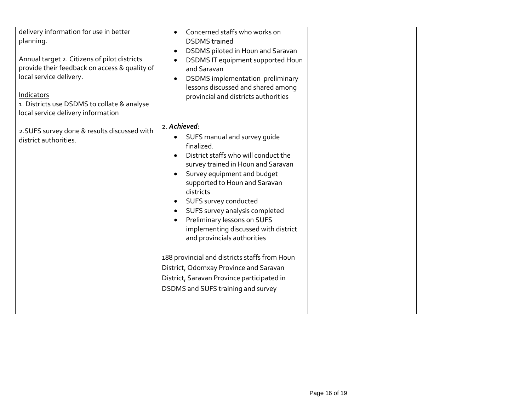| delivery information for use in better<br>planning.<br>Annual target 2. Citizens of pilot districts<br>provide their feedback on access & quality of<br>local service delivery.<br>Indicators<br>1. Districts use DSDMS to collate & analyse<br>local service delivery information | Concerned staffs who works on<br><b>DSDMS</b> trained<br>DSDMS piloted in Houn and Saravan<br>$\bullet$<br>DSDMS IT equipment supported Houn<br>and Saravan<br><b>DSDMS</b> implementation preliminary<br>lessons discussed and shared among<br>provincial and districts authorities                                                                                                                                                                                                                                                                                  |  |
|------------------------------------------------------------------------------------------------------------------------------------------------------------------------------------------------------------------------------------------------------------------------------------|-----------------------------------------------------------------------------------------------------------------------------------------------------------------------------------------------------------------------------------------------------------------------------------------------------------------------------------------------------------------------------------------------------------------------------------------------------------------------------------------------------------------------------------------------------------------------|--|
| 2.SUFS survey done & results discussed with<br>district authorities.                                                                                                                                                                                                               | 2. Achieved:<br>SUFS manual and survey guide<br>finalized.<br>District staffs who will conduct the<br>survey trained in Houn and Saravan<br>Survey equipment and budget<br>supported to Houn and Saravan<br>districts<br>SUFS survey conducted<br>SUFS survey analysis completed<br>Preliminary lessons on SUFS<br>implementing discussed with district<br>and provincials authorities<br>188 provincial and districts staffs from Houn<br>District, Odomxay Province and Saravan<br>District, Saravan Province participated in<br>DSDMS and SUFS training and survey |  |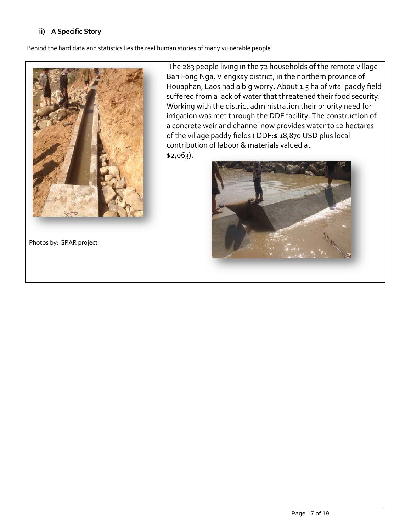# **ii) A Specific Story**

Behind the hard data and statistics lies the real human stories of many vulnerable people.



The 283 people living in the 72 households of the remote village Ban Fong Nga, Viengxay district, in the northern province of Houaphan, Laos had a big worry. About 1.5 ha of vital paddy field suffered from a lack of water that threatened their food security. Working with the district administration their priority need for irrigation was met through the DDF facility. The construction of a concrete weir and channel now provides water to 12 hectares of the village paddy fields ( DDF:\$ 18,870 USD plus local contribution of labour & materials valued at \$2,063).

Photos by: GPAR project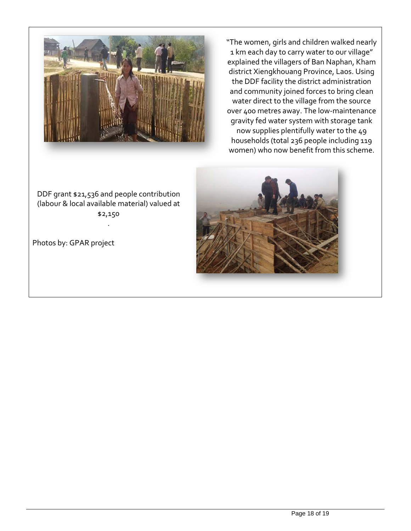

"The women, girls and children walked nearly 1 km each day to carry water to our village" explained the villagers of Ban Naphan, Kham district Xiengkhouang Province, Laos. Using the DDF facility the district administration and community joined forces to bring clean water direct to the village from the source over 400 metres away. The low-maintenance gravity fed water system with storage tank now supplies plentifully water to the 49 households (total 236 people including 119 women) who now benefit from this scheme.

# DDF grant \$21,536 and people contribution (labour & local available material) valued at \$2,150 .

Photos by: GPAR project